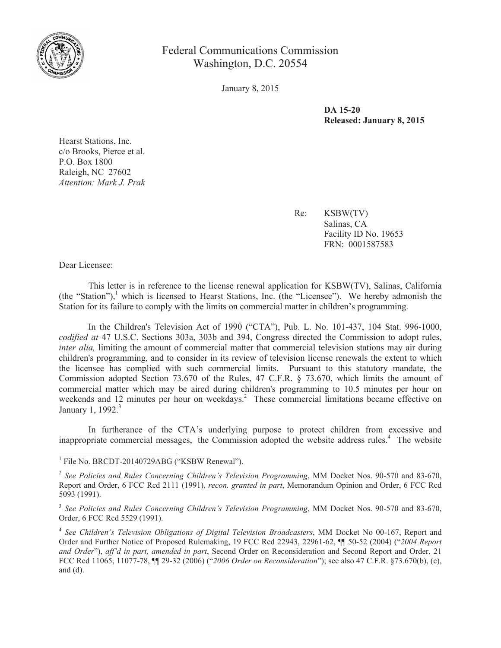

Federal Communications Commission Washington, D.C. 20554

January 8, 2015

**DA 15-20 Released: January 8, 2015**

Hearst Stations, Inc. c/o Brooks, Pierce et al. P.O. Box 1800 Raleigh, NC 27602 *Attention: Mark J. Prak*

> Re: KSBW(TV) Salinas, CA Facility ID No. 19653 FRN: 0001587583

Dear Licensee:

This letter is in reference to the license renewal application for KSBW(TV), Salinas, California (the "Station"), $\frac{1}{1}$  which is licensed to Hearst Stations, Inc. (the "Licensee"). We hereby admonish the Station for its failure to comply with the limits on commercial matter in children's programming.

In the Children's Television Act of 1990 ("CTA"), Pub. L. No. 101-437, 104 Stat. 996-1000, *codified at* 47 U.S.C. Sections 303a, 303b and 394, Congress directed the Commission to adopt rules, *inter alia*, limiting the amount of commercial matter that commercial television stations may air during children's programming, and to consider in its review of television license renewals the extent to which the licensee has complied with such commercial limits. Pursuant to this statutory mandate, the Commission adopted Section 73.670 of the Rules, 47 C.F.R. § 73.670, which limits the amount of commercial matter which may be aired during children's programming to 10.5 minutes per hour on weekends and 12 minutes per hour on weekdays.<sup>2</sup> These commercial limitations became effective on January 1, 1992.<sup>3</sup>

In furtherance of the CTA's underlying purpose to protect children from excessive and inappropriate commercial messages, the Commission adopted the website address rules.<sup>4</sup> The website

<sup>&</sup>lt;sup>1</sup> File No. BRCDT-20140729ABG ("KSBW Renewal").

<sup>2</sup> *See Policies and Rules Concerning Children's Television Programming*, MM Docket Nos. 90-570 and 83-670, Report and Order, 6 FCC Rcd 2111 (1991), *recon. granted in part*, Memorandum Opinion and Order, 6 FCC Rcd 5093 (1991).

<sup>3</sup> *See Policies and Rules Concerning Children's Television Programming*, MM Docket Nos. 90-570 and 83-670, Order, 6 FCC Rcd 5529 (1991).

<sup>4</sup> *See Children's Television Obligations of Digital Television Broadcasters*, MM Docket No 00-167, Report and Order and Further Notice of Proposed Rulemaking, 19 FCC Rcd 22943, 22961-62, ¶¶ 50-52 (2004) ("*2004 Report and Order*"), *aff'd in part, amended in part*, Second Order on Reconsideration and Second Report and Order, 21 FCC Rcd 11065, 11077-78, ¶¶ 29-32 (2006) ("*2006 Order on Reconsideration*"); see also 47 C.F.R. §73.670(b), (c), and (d).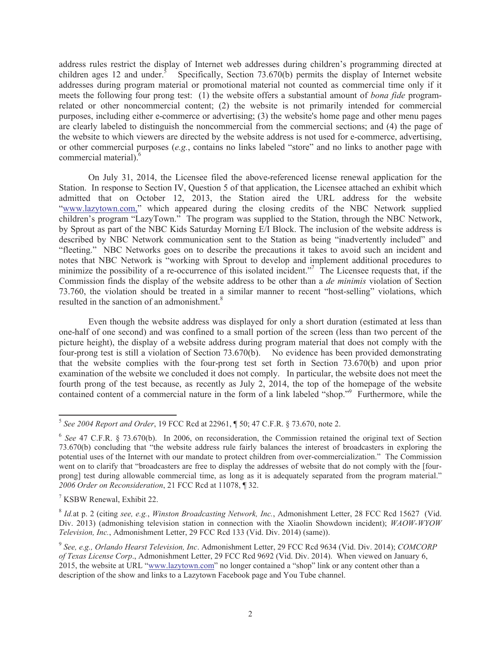address rules restrict the display of Internet web addresses during children's programming directed at children ages 12 and under.<sup>5</sup> Specifically, Section 73.670(b) permits the display of Internet website addresses during program material or promotional material not counted as commercial time only if it meets the following four prong test: (1) the website offers a substantial amount of *bona fide* programrelated or other noncommercial content; (2) the website is not primarily intended for commercial purposes, including either e-commerce or advertising; (3) the website's home page and other menu pages are clearly labeled to distinguish the noncommercial from the commercial sections; and (4) the page of the website to which viewers are directed by the website address is not used for e-commerce, advertising, or other commercial purposes (*e.g.*, contains no links labeled "store" and no links to another page with commercial material).<sup>6</sup>

On July 31, 2014, the Licensee filed the above-referenced license renewal application for the Station. In response to Section IV, Question 5 of that application, the Licensee attached an exhibit which admitted that on October 12, 2013, the Station aired the URL address for the website "www.lazytown.com," which appeared during the closing credits of the NBC Network supplied children's program "LazyTown." The program was supplied to the Station, through the NBC Network, by Sprout as part of the NBC Kids Saturday Morning E/I Block. The inclusion of the website address is described by NBC Network communication sent to the Station as being "inadvertently included" and "fleeting." NBC Networks goes on to describe the precautions it takes to avoid such an incident and notes that NBC Network is "working with Sprout to develop and implement additional procedures to minimize the possibility of a re-occurrence of this isolated incident."<sup>7</sup> The Licensee requests that, if the Commission finds the display of the website address to be other than a *de minimis* violation of Section 73.760, the violation should be treated in a similar manner to recent "host-selling" violations, which resulted in the sanction of an admonishment.<sup>8</sup>

Even though the website address was displayed for only a short duration (estimated at less than one-half of one second) and was confined to a small portion of the screen (less than two percent of the picture height), the display of a website address during program material that does not comply with the four-prong test is still a violation of Section 73.670(b). No evidence has been provided demonstrating that the website complies with the four-prong test set forth in Section 73.670(b) and upon prior examination of the website we concluded it does not comply. In particular, the website does not meet the fourth prong of the test because, as recently as July 2, 2014, the top of the homepage of the website contained content of a commercial nature in the form of a link labeled "shop."<sup>9</sup> Furthermore, while the

<sup>5</sup> *See 2004 Report and Order*, 19 FCC Rcd at 22961, ¶ 50; 47 C.F.R. § 73.670, note 2.

<sup>&</sup>lt;sup>6</sup> See 47 C.F.R. § 73.670(b). In 2006, on reconsideration, the Commission retained the original text of Section 73.670(b) concluding that "the website address rule fairly balances the interest of broadcasters in exploring the potential uses of the Internet with our mandate to protect children from over-commercialization." The Commission went on to clarify that "broadcasters are free to display the addresses of website that do not comply with the [fourprong] test during allowable commercial time, as long as it is adequately separated from the program material." *2006 Order on Reconsideration*, 21 FCC Rcd at 11078, ¶ 32.

<sup>7</sup> KSBW Renewal, Exhibit 22.

<sup>8</sup> *Id.*at p. 2 (citing *see, e.g.*, *Winston Broadcasting Network, Inc.*, Admonishment Letter, 28 FCC Rcd 15627 (Vid. Div. 2013) (admonishing television station in connection with the Xiaolin Showdown incident); *WAOW-WYOW Television, Inc.*, Admonishment Letter, 29 FCC Rcd 133 (Vid. Div. 2014) (same)).

<sup>9</sup> *See, e.g., Orlando Hearst Television, Inc*. Admonishment Letter, 29 FCC Rcd 9634 (Vid. Div. 2014); *COMCORP of Texas License Corp*., Admonishment Letter, 29 FCC Rcd 9692 (Vid. Div. 2014). When viewed on January 6, 2015, the website at URL "www.lazytown.com" no longer contained a "shop" link or any content other than a description of the show and links to a Lazytown Facebook page and You Tube channel.